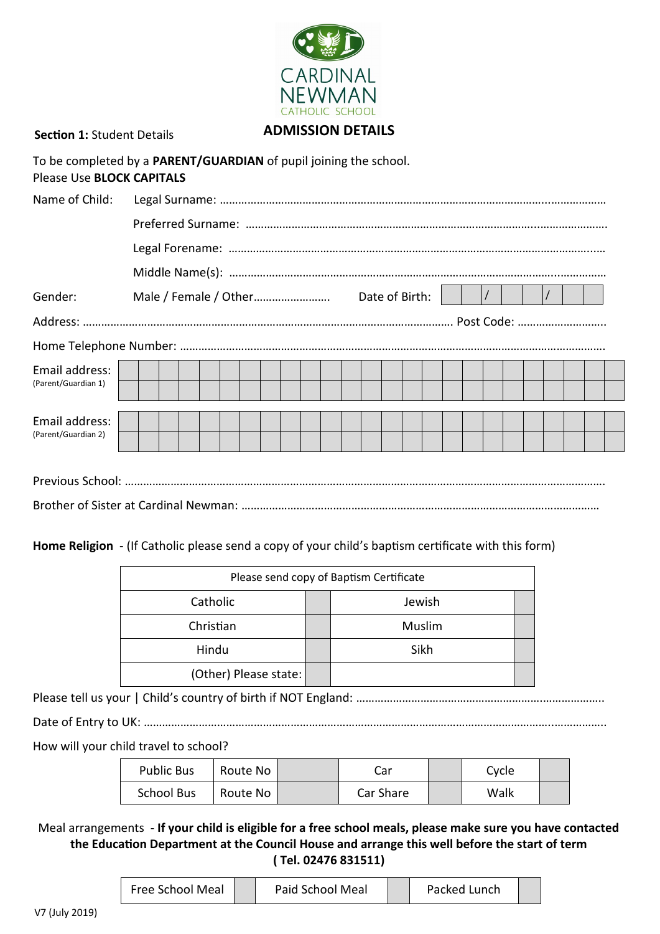

**Section 1:** Student Details

# **ADMISSION DETAILS**

| Please Use <b>BLOCK CAPITALS</b> | To be completed by a <b>PARENT/GUARDIAN</b> of pupil joining the school. |  |  |  |  |  |  |  |  |  |  |
|----------------------------------|--------------------------------------------------------------------------|--|--|--|--|--|--|--|--|--|--|
| Name of Child:                   |                                                                          |  |  |  |  |  |  |  |  |  |  |
|                                  |                                                                          |  |  |  |  |  |  |  |  |  |  |
|                                  |                                                                          |  |  |  |  |  |  |  |  |  |  |
|                                  |                                                                          |  |  |  |  |  |  |  |  |  |  |
| Gender:                          |                                                                          |  |  |  |  |  |  |  |  |  |  |
|                                  |                                                                          |  |  |  |  |  |  |  |  |  |  |
|                                  |                                                                          |  |  |  |  |  |  |  |  |  |  |
| Email address:                   |                                                                          |  |  |  |  |  |  |  |  |  |  |
| (Parent/Guardian 1)              |                                                                          |  |  |  |  |  |  |  |  |  |  |
| Email address:                   |                                                                          |  |  |  |  |  |  |  |  |  |  |
| (Parent/Guardian 2)              |                                                                          |  |  |  |  |  |  |  |  |  |  |
|                                  |                                                                          |  |  |  |  |  |  |  |  |  |  |
|                                  |                                                                          |  |  |  |  |  |  |  |  |  |  |

**Home Religion** - (If Catholic please send a copy of your child's baptism certificate with this form)

| Please send copy of Baptism Certificate |        |  |  |  |  |  |
|-----------------------------------------|--------|--|--|--|--|--|
| Catholic                                | Jewish |  |  |  |  |  |
| Christian                               | Muslim |  |  |  |  |  |
| Hindu                                   | Sikh   |  |  |  |  |  |
| (Other) Please state:                   |        |  |  |  |  |  |

Please tell us your | Child's country of birth if NOT England: …………………………………………………….………………..

Date of Entry to UK: ……………………………………………………………………………………………………………………..……………..

How will your child travel to school?

| <b>Public Bus</b> | Route No | Car       | Cycle |  |
|-------------------|----------|-----------|-------|--|
| <b>School Bus</b> | Route No | Car Share | Walk  |  |

Meal arrangements - **If your child is eligible for a free school meals, please make sure you have contacted the Education Department at the Council House and arrange this well before the start of term ( Tel. 02476 831511)**

| Free School Meal |  | Paid School Meal |  | Packed Lunch |  |  |
|------------------|--|------------------|--|--------------|--|--|
|------------------|--|------------------|--|--------------|--|--|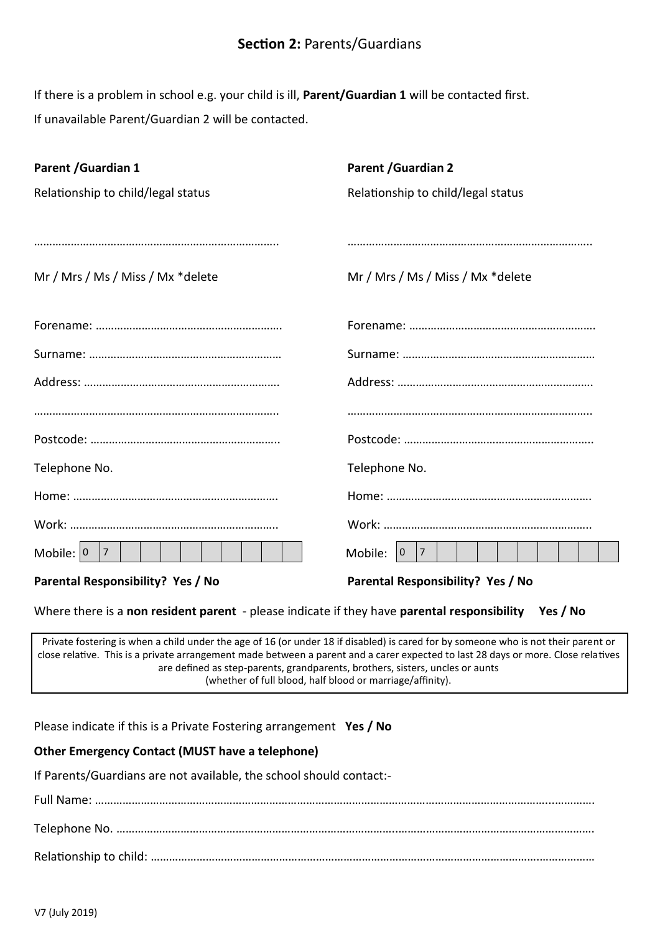If there is a problem in school e.g. your child is ill, **Parent/Guardian 1** will be contacted first. If unavailable Parent/Guardian 2 will be contacted.

| Parent / Guardian 1                                                                                  | <b>Parent / Guardian 2</b>                                       |
|------------------------------------------------------------------------------------------------------|------------------------------------------------------------------|
| Relationship to child/legal status                                                                   | Relationship to child/legal status                               |
|                                                                                                      |                                                                  |
|                                                                                                      |                                                                  |
| Mr / Mrs / Ms / Miss / Mx *delete                                                                    | Mr / Mrs / Ms / Miss / Mx *delete                                |
|                                                                                                      |                                                                  |
|                                                                                                      |                                                                  |
|                                                                                                      |                                                                  |
|                                                                                                      |                                                                  |
|                                                                                                      |                                                                  |
|                                                                                                      |                                                                  |
| Telephone No.                                                                                        | Telephone No.                                                    |
|                                                                                                      |                                                                  |
|                                                                                                      |                                                                  |
| 7 <br>Mobile: $ 0 $                                                                                  | $\begin{array}{ c c c c c } \hline 0 & 7 \end{array}$<br>Mobile: |
| Parental Responsibility? Yes / No                                                                    | Parental Responsibility? Yes / No                                |
| Where there is a non resident parent - please indicate if they have parental responsibility Yes / No |                                                                  |

Private fostering is when a child under the age of 16 (or under 18 if disabled) is cared for by someone who is not their parent or close relative. This is a private arrangement made between a parent and a carer expected to last 28 days or more. Close relatives are defined as step-parents, grandparents, brothers, sisters, uncles or aunts (whether of full blood, half blood or marriage/affinity).

Please indicate if this is a Private Fostering arrangement **Yes / No**

#### **Other Emergency Contact (MUST have a telephone)**

If Parents/Guardians are not available, the school should contact:-

Full Name: …………………………………………………………………………………………………………………………………...…………. Telephone No. ………………………………………………………………………………..………………………………………………………. Relationship to child: ……………………………………………………………………………………………………………….………………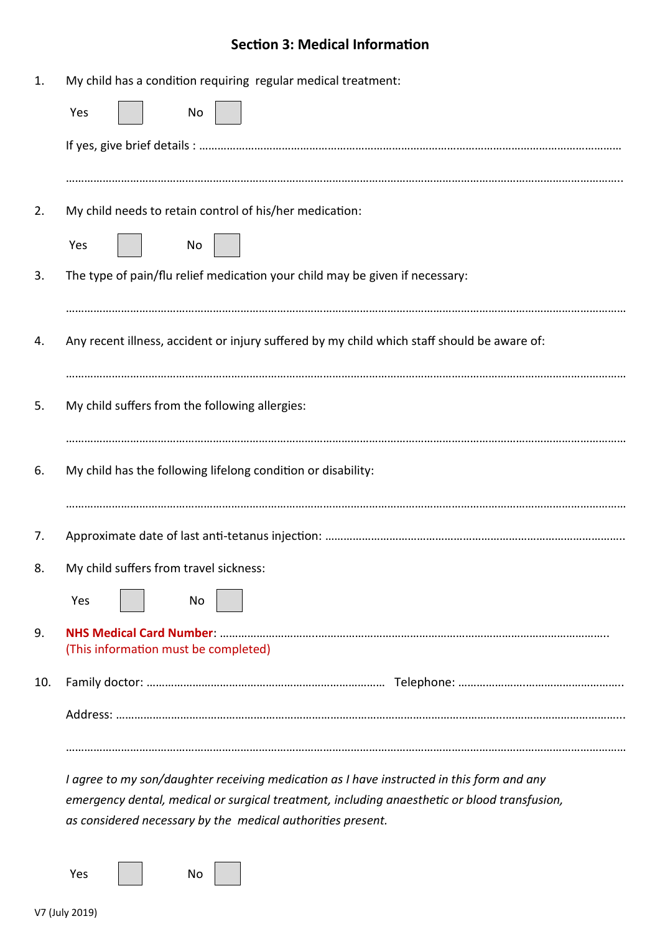# **Section 3: Medical Information**

| 1.  | My child has a condition requiring regular medical treatment:                               |
|-----|---------------------------------------------------------------------------------------------|
|     | Yes<br>No                                                                                   |
|     |                                                                                             |
|     |                                                                                             |
| 2.  | My child needs to retain control of his/her medication:                                     |
|     | Yes<br>No.                                                                                  |
| 3.  | The type of pain/flu relief medication your child may be given if necessary:                |
|     |                                                                                             |
| 4.  | Any recent illness, accident or injury suffered by my child which staff should be aware of: |
|     |                                                                                             |
| 5.  | My child suffers from the following allergies:                                              |
|     |                                                                                             |
| 6.  | My child has the following lifelong condition or disability:                                |
|     |                                                                                             |
| 7.  |                                                                                             |
| 8.  | My child suffers from travel sickness:                                                      |
|     | Yes<br>No                                                                                   |
| 9.  |                                                                                             |
|     | (This information must be completed)                                                        |
| 10. |                                                                                             |
|     |                                                                                             |
|     |                                                                                             |
|     | I agree to my son/daughter receiving medication as I have instructed in this form and any   |

*emergency dental, medical or surgical treatment, including anaesthetic or blood transfusion, as considered necessary by the medical authorities present.*

Yes | No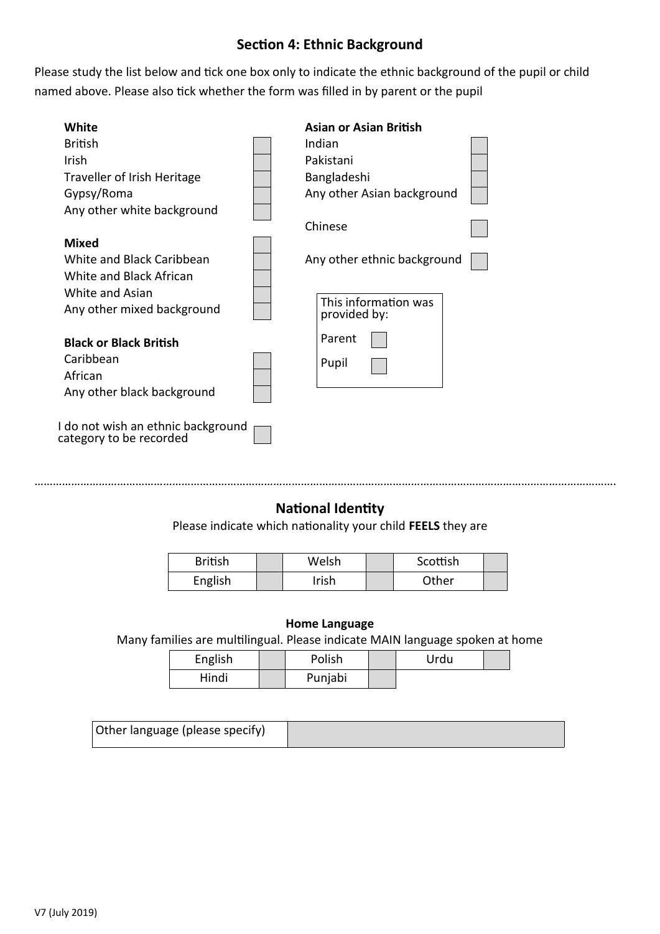# **Section 4: Ethnic Background**

Please study the list below and tick one box only to indicate the ethnic background of the pupil or child named above. Please also tick whether the form was filled in by parent or the pupil

| White                                                         | <b>Asian or Asian British</b>        |
|---------------------------------------------------------------|--------------------------------------|
| <b>British</b>                                                | Indian                               |
| Irish                                                         | Pakistani                            |
| Traveller of Irish Heritage                                   | Bangladeshi                          |
| Gypsy/Roma                                                    | Any other Asian background           |
| Any other white background                                    |                                      |
|                                                               | Chinese                              |
| <b>Mixed</b>                                                  |                                      |
| White and Black Caribbean                                     | Any other ethnic background          |
| White and Black African                                       |                                      |
| White and Asian                                               |                                      |
| Any other mixed background                                    | This information was<br>provided by: |
|                                                               | Parent                               |
| <b>Black or Black British</b>                                 |                                      |
| Caribbean                                                     | Pupil                                |
| African                                                       |                                      |
| Any other black background                                    |                                      |
| I do not wish an ethnic background<br>category to be recorded |                                      |

# **National Identity**

……………………………………………………………………………………………………………………………………………………………………….

Please indicate which nationality your child **FEELS** they are

| <b>British</b> | Welsh | Scottish |  |
|----------------|-------|----------|--|
| English        | rish  | Other    |  |

#### **Home Language**

Many families are multilingual. Please indicate MAIN language spoken at home

| English | Polish  | Urdu |  |
|---------|---------|------|--|
| Hindi   | Punjabi |      |  |

| Other language (please specify) |  |
|---------------------------------|--|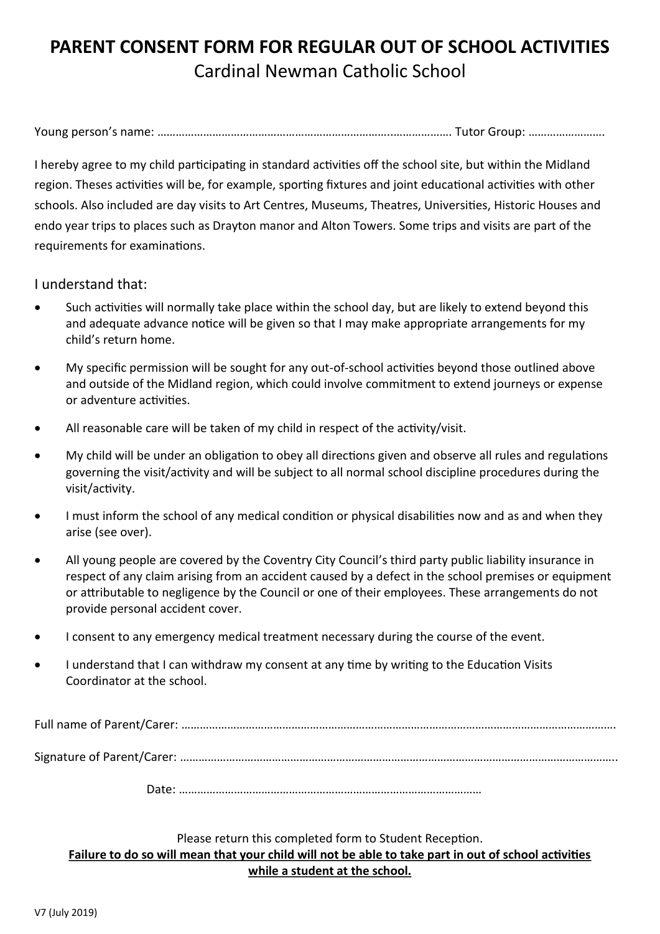# **PARENT CONSENT FORM FOR REGULAR OUT OF SCHOOL ACTIVITIES** Cardinal Newman Catholic School

Young person's name: …………………………………………………………………..………………. Tutor Group: …………………….

I hereby agree to my child participating in standard activities off the school site, but within the Midland region. Theses activities will be, for example, sporting fixtures and joint educational activities with other schools. Also included are day visits to Art Centres, Museums, Theatres, Universities, Historic Houses and endo year trips to places such as Drayton manor and Alton Towers. Some trips and visits are part of the requirements for examinations.

I understand that:

- Such activities will normally take place within the school day, but are likely to extend beyond this and adequate advance notice will be given so that I may make appropriate arrangements for my child's return home.
- My specific permission will be sought for any out-of-school activities beyond those outlined above and outside of the Midland region, which could involve commitment to extend journeys or expense or adventure activities.
- All reasonable care will be taken of my child in respect of the activity/visit.
- My child will be under an obligation to obey all directions given and observe all rules and regulations governing the visit/activity and will be subject to all normal school discipline procedures during the visit/activity.
- I must inform the school of any medical condition or physical disabilities now and as and when they arise (see over).
- All young people are covered by the Coventry City Council's third party public liability insurance in respect of any claim arising from an accident caused by a defect in the school premises or equipment or attributable to negligence by the Council or one of their employees. These arrangements do not provide personal accident cover.
- I consent to any emergency medical treatment necessary during the course of the event.
- I understand that I can withdraw my consent at any time by writing to the Education Visits Coordinator at the school.

Full name of Parent/Carer: …………………………………………………………………………………………………………………………….

Signature of Parent/Carer: ……………………………………………………………………………………………………………………………..

Date: ………………………………………………………………………………………

# Please return this completed form to Student Reception. **Failure to do so will mean that your child will not be able to take part in out of school activities while a student at the school.**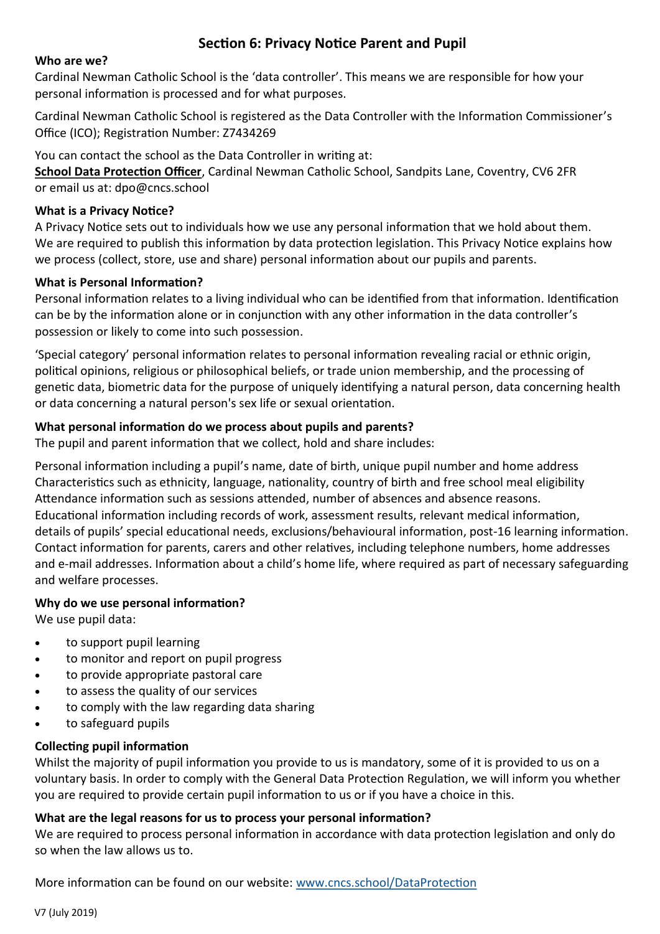# **Section 6: Privacy Notice Parent and Pupil**

## **Who are we?**

Cardinal Newman Catholic School is the 'data controller'. This means we are responsible for how your personal information is processed and for what purposes.

Cardinal Newman Catholic School is registered as the Data Controller with the Information Commissioner's Office (ICO); Registration Number: Z7434269

You can contact the school as the Data Controller in writing at:

**School Data Protection Officer**, Cardinal Newman Catholic School, Sandpits Lane, Coventry, CV6 2FR or email us at: dpo@cncs.school

## **What is a Privacy Notice?**

A Privacy Notice sets out to individuals how we use any personal information that we hold about them. We are required to publish this information by data protection legislation. This Privacy Notice explains how we process (collect, store, use and share) personal information about our pupils and parents.

# **What is Personal Information?**

Personal information relates to a living individual who can be identified from that information. Identification can be by the information alone or in conjunction with any other information in the data controller's possession or likely to come into such possession.

'Special category' personal information relates to personal information revealing racial or ethnic origin, political opinions, religious or philosophical beliefs, or trade union membership, and the processing of genetic data, biometric data for the purpose of uniquely identifying a natural person, data concerning health or data concerning a natural person's sex life or sexual orientation.

# **What personal information do we process about pupils and parents?**

The pupil and parent information that we collect, hold and share includes:

Personal information including a pupil's name, date of birth, unique pupil number and home address Characteristics such as ethnicity, language, nationality, country of birth and free school meal eligibility Attendance information such as sessions attended, number of absences and absence reasons. Educational information including records of work, assessment results, relevant medical information, details of pupils' special educational needs, exclusions/behavioural information, post-16 learning information. Contact information for parents, carers and other relatives, including telephone numbers, home addresses and e-mail addresses. Information about a child's home life, where required as part of necessary safeguarding and welfare processes.

# **Why do we use personal information?**

We use pupil data:

- to support pupil learning
- to monitor and report on pupil progress
- to provide appropriate pastoral care
- to assess the quality of our services
- to comply with the law regarding data sharing
- to safeguard pupils

# **Collecting pupil information**

Whilst the majority of pupil information you provide to us is mandatory, some of it is provided to us on a voluntary basis. In order to comply with the General Data Protection Regulation, we will inform you whether you are required to provide certain pupil information to us or if you have a choice in this.

# **What are the legal reasons for us to process your personal information?**

We are required to process personal information in accordance with data protection legislation and only do so when the law allows us to.

More information can be found on our website: [www.cncs.school/DataProtection](http://www.cncs.school/DataProtection)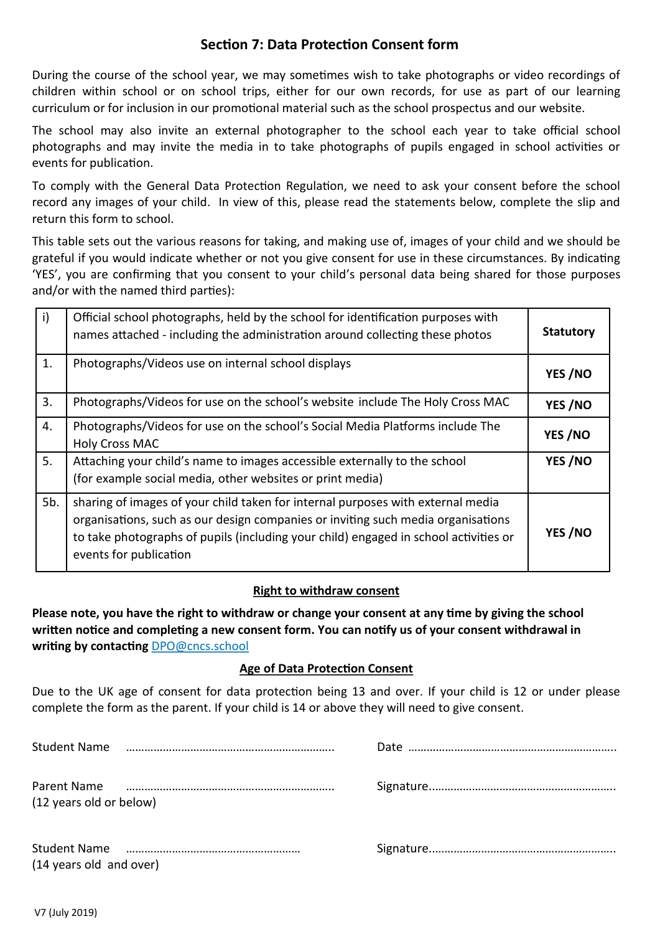# **Section 7: Data Protection Consent form**

During the course of the school year, we may sometimes wish to take photographs or video recordings of children within school or on school trips, either for our own records, for use as part of our learning curriculum or for inclusion in our promotional material such as the school prospectus and our website.

The school may also invite an external photographer to the school each year to take official school photographs and may invite the media in to take photographs of pupils engaged in school activities or events for publication.

To comply with the General Data Protection Regulation, we need to ask your consent before the school record any images of your child. In view of this, please read the statements below, complete the slip and return this form to school.

This table sets out the various reasons for taking, and making use of, images of your child and we should be grateful if you would indicate whether or not you give consent for use in these circumstances. By indicating 'YES', you are confirming that you consent to your child's personal data being shared for those purposes and/or with the named third parties):

| $\mathsf{i}$ | Official school photographs, held by the school for identification purposes with<br>names attached - including the administration around collecting these photos                                                                                                                      | <b>Statutory</b> |
|--------------|---------------------------------------------------------------------------------------------------------------------------------------------------------------------------------------------------------------------------------------------------------------------------------------|------------------|
| 1.           | Photographs/Videos use on internal school displays                                                                                                                                                                                                                                    | YES/NO           |
| 3.           | Photographs/Videos for use on the school's website include The Holy Cross MAC                                                                                                                                                                                                         | YES/NO           |
| 4.           | Photographs/Videos for use on the school's Social Media Platforms include The<br><b>Holy Cross MAC</b>                                                                                                                                                                                | YES/NO           |
| 5.           | Attaching your child's name to images accessible externally to the school<br>(for example social media, other websites or print media)                                                                                                                                                | YES/NO           |
| 5b.          | sharing of images of your child taken for internal purposes with external media<br>organisations, such as our design companies or inviting such media organisations<br>to take photographs of pupils (including your child) engaged in school activities or<br>events for publication | YES/NO           |

#### **Right to withdraw consent**

**Please note, you have the right to withdraw or change your consent at any time by giving the school written notice and completing a new consent form. You can notify us of your consent withdrawal in writing by contacting** DPO@cncs.school

# **Age of Data Protection Consent**

Due to the UK age of consent for data protection being 13 and over. If your child is 12 or under please complete the form as the parent. If your child is 14 or above they will need to give consent.

| Student Name mummummummummummummummum |  |
|---------------------------------------|--|
| (12 years old or below)               |  |
| (14 years old and over)               |  |